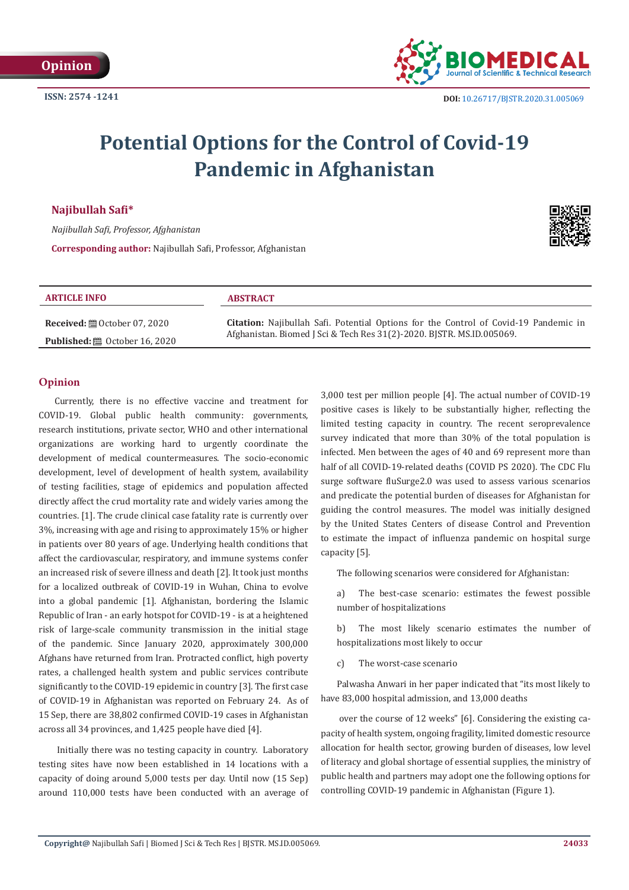

# **Potential Options for the Control of Covid-19 Pandemic in Afghanistan**

## **Najibullah Safi\***

*Najibullah Safi, Professor, Afghanistan* **Corresponding author:** Najibullah Safi, Professor, Afghanistan



| <b>ARTICLE INFO</b>                             | <b>ABSTRACT</b>                                                                                                                                                      |
|-------------------------------------------------|----------------------------------------------------------------------------------------------------------------------------------------------------------------------|
| <b>Received:</b> $\mathbf{B}$ October 07, 2020  | <b>Citation:</b> Najibullah Safi. Potential Options for the Control of Covid-19 Pandemic in<br>Afghanistan. Biomed J Sci & Tech Res 31(2)-2020. BISTR. MS.ID.005069. |
| <b>Published:</b> $\mathbf{B}$ October 16, 2020 |                                                                                                                                                                      |

### **Opinion**

Currently, there is no effective vaccine and treatment for COVID-19. Global public health community: governments, research institutions, private sector, WHO and other international organizations are working hard to urgently coordinate the development of medical countermeasures. The socio-economic development, level of development of health system, availability of testing facilities, stage of epidemics and population affected directly affect the crud mortality rate and widely varies among the countries. [1]. The crude clinical case fatality rate is currently over 3%, increasing with age and rising to approximately 15% or higher in patients over 80 years of age. Underlying health conditions that affect the cardiovascular, respiratory, and immune systems confer an increased risk of severe illness and death [2]. It took just months for a localized outbreak of COVID-19 in Wuhan, China to evolve into a global pandemic [1]. Afghanistan, bordering the Islamic Republic of Iran - an early hotspot for COVID-19 - is at a heightened risk of large-scale community transmission in the initial stage of the pandemic. Since January 2020, approximately 300,000 Afghans have returned from Iran. Protracted conflict, high poverty rates, a challenged health system and public services contribute significantly to the COVID-19 epidemic in country [3]. The first case of COVID-19 in Afghanistan was reported on February 24. As of 15 Sep, there are 38,802 confirmed COVID-19 cases in Afghanistan across all 34 provinces, and 1,425 people have died [4].

 Initially there was no testing capacity in country. Laboratory testing sites have now been established in 14 locations with a capacity of doing around 5,000 tests per day. Until now (15 Sep) around 110,000 tests have been conducted with an average of 3,000 test per million people [4]. The actual number of COVID-19 positive cases is likely to be substantially higher, reflecting the limited testing capacity in country. The recent seroprevalence survey indicated that more than 30% of the total population is infected. Men between the ages of 40 and 69 represent more than half of all COVID-19-related deaths (COVID PS 2020). The CDC Flu surge software fluSurge2.0 was used to assess various scenarios and predicate the potential burden of diseases for Afghanistan for guiding the control measures. The model was initially designed by the United States Centers of disease Control and Prevention to estimate the impact of influenza pandemic on hospital surge capacity [5].

The following scenarios were considered for Afghanistan:

a) The best-case scenario: estimates the fewest possible number of hospitalizations

b) The most likely scenario estimates the number of hospitalizations most likely to occur

c) The worst-case scenario

Palwasha Anwari in her paper indicated that "its most likely to have 83,000 hospital admission, and 13,000 deaths

 over the course of 12 weeks" [6]. Considering the existing capacity of health system, ongoing fragility, limited domestic resource allocation for health sector, growing burden of diseases, low level of literacy and global shortage of essential supplies, the ministry of public health and partners may adopt one the following options for controlling COVID-19 pandemic in Afghanistan (Figure 1).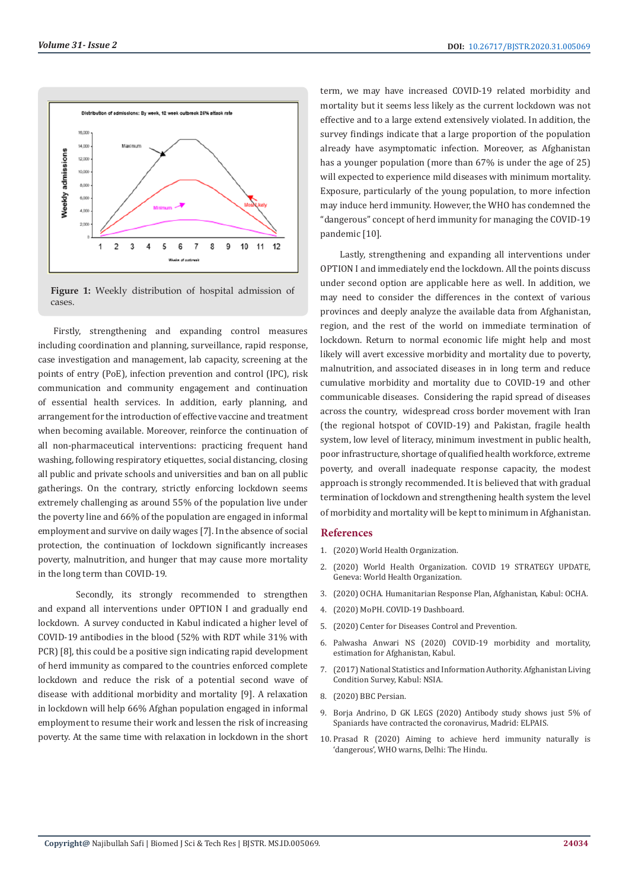

**Figure 1:** Weekly distribution of hospital admission of cases.

Firstly, strengthening and expanding control measures including coordination and planning, surveillance, rapid response, case investigation and management, lab capacity, screening at the points of entry (PoE), infection prevention and control (IPC), risk communication and community engagement and continuation of essential health services. In addition, early planning, and arrangement for the introduction of effective vaccine and treatment when becoming available. Moreover, reinforce the continuation of all non-pharmaceutical interventions: practicing frequent hand washing, following respiratory etiquettes, social distancing, closing all public and private schools and universities and ban on all public gatherings. On the contrary, strictly enforcing lockdown seems extremely challenging as around 55% of the population live under the poverty line and 66% of the population are engaged in informal employment and survive on daily wages [7]. In the absence of social protection, the continuation of lockdown significantly increases poverty, malnutrition, and hunger that may cause more mortality in the long term than COVID-19.

Secondly, its strongly recommended to strengthen and expand all interventions under OPTION I and gradually end lockdown. A survey conducted in Kabul indicated a higher level of COVID-19 antibodies in the blood (52% with RDT while 31% with PCR) [8], this could be a positive sign indicating rapid development of herd immunity as compared to the countries enforced complete lockdown and reduce the risk of a potential second wave of disease with additional morbidity and mortality [9]. A relaxation in lockdown will help 66% Afghan population engaged in informal employment to resume their work and lessen the risk of increasing poverty. At the same time with relaxation in lockdown in the short

term, we may have increased COVID-19 related morbidity and mortality but it seems less likely as the current lockdown was not effective and to a large extend extensively violated. In addition, the survey findings indicate that a large proportion of the population already have asymptomatic infection. Moreover, as Afghanistan has a younger population (more than 67% is under the age of 25) will expected to experience mild diseases with minimum mortality. Exposure, particularly of the young population, to more infection may induce herd immunity. However, the WHO has condemned the "dangerous" concept of herd immunity for managing the COVID-19 pandemic [10].

 Lastly, strengthening and expanding all interventions under OPTION I and immediately end the lockdown. All the points discuss under second option are applicable here as well. In addition, we may need to consider the differences in the context of various provinces and deeply analyze the available data from Afghanistan, region, and the rest of the world on immediate termination of lockdown. Return to normal economic life might help and most likely will avert excessive morbidity and mortality due to poverty, malnutrition, and associated diseases in in long term and reduce cumulative morbidity and mortality due to COVID-19 and other communicable diseases. Considering the rapid spread of diseases across the country, widespread cross border movement with Iran (the regional hotspot of COVID-19) and Pakistan, fragile health system, low level of literacy, minimum investment in public health, poor infrastructure, shortage of qualified health workforce, extreme poverty, and overall inadequate response capacity, the modest approach is strongly recommended. It is believed that with gradual termination of lockdown and strengthening health system the level of morbidity and mortality will be kept to minimum in Afghanistan.

#### **References**

- 1. [\(2020\) World Health Organization.](https://www.who.int/news/item/29-06-2020-covidtimeline)
- 2. (2020) World Health Organization. COVID 19 STRATEGY UPDATE, Geneva: World Health Organization.
- 3. (2020) OCHA. Humanitarian Response Plan, Afghanistan, Kabul: OCHA.
- 4. [\(2020\) MoPH. COVID-19 Dashboard.](https://www.cdc.gov/flu/pandemic-resources/tools/flusurge.htm)
- 5. [\(2020\) Center for Diseases Control and Prevention.](https://www.cdc.gov/flu/pandemic-resources/tools/flusurge.htm)
- 6. [Palwasha Anwari NS \(2020\) COVID-19 morbidity and mortality,](http://safinajibullah.blogspot.com/) [estimation for Afghanistan, Kabul.](http://safinajibullah.blogspot.com/)
- 7. (2017) National Statistics and Information Authority. Afghanistan Living Condition Survey, Kabul: NSIA.
- 8. [\(2020\) BBC Persian.](https://www.bbc.com/persian/afghanistan-52515282)
- 9. Borja Andrino, D GK LEGS (2020) Antibody study shows just 5% of Spaniards have contracted the coronavirus, Madrid: ELPAIS.
- 10. Prasad R (2020) Aiming to achieve herd immunity naturally is 'dangerous', WHO warns, Delhi: The Hindu.